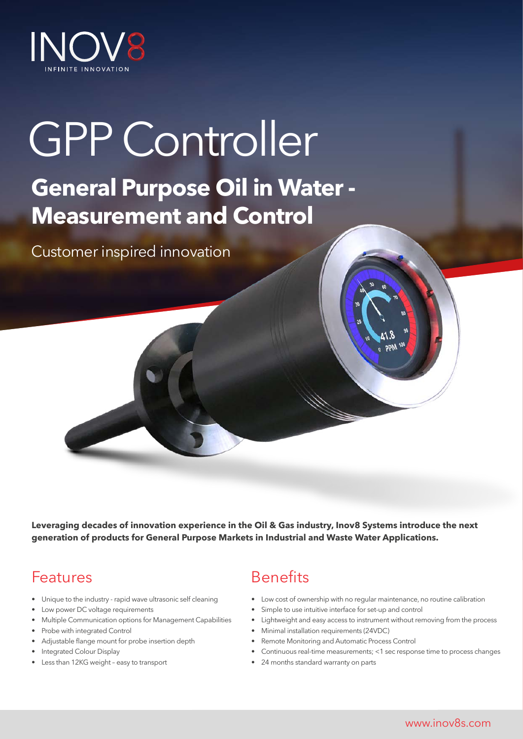

# GPP Controller **General Purpose Oil in Water - Measurement and Control**

Customer inspired innovation

**Leveraging decades of innovation experience in the Oil & Gas industry, Inov8 Systems introduce the next generation of products for General Purpose Markets in Industrial and Waste Water Applications.**

### Features

- Unique to the industry rapid wave ultrasonic self cleaning
- Low power DC voltage requirements
- Multiple Communication options for Management Capabilities
- Probe with integrated Control
- Adjustable flange mount for probe insertion depth
- Integrated Colour Display
- Less than 12KG weight easy to transport

### Benefits

- Low cost of ownership with no regular maintenance, no routine calibration
- Simple to use intuitive interface for set-up and control
- Lightweight and easy access to instrument without removing from the process
- Minimal installation requirements (24VDC)
- Remote Monitoring and Automatic Process Control
- Continuous real-time measurements; <1 sec response time to process changes
- 24 months standard warranty on parts

www.inov8s.com